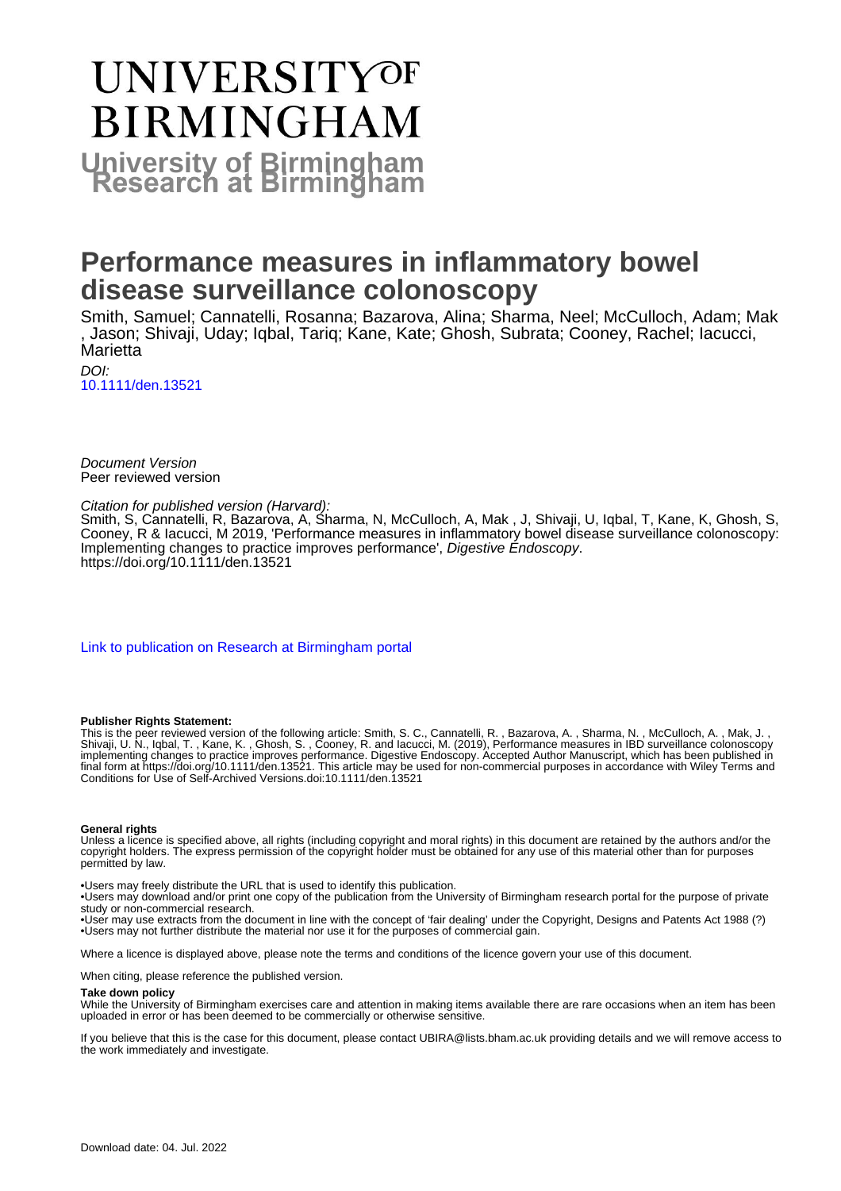# UNIVERSITYOF **BIRMINGHAM University of Birmingham**

# **Performance measures in inflammatory bowel disease surveillance colonoscopy**

Smith, Samuel; Cannatelli, Rosanna; Bazarova, Alina; Sharma, Neel; McCulloch, Adam; Mak , Jason; Shivaji, Uday; Iqbal, Tariq; Kane, Kate; Ghosh, Subrata; Cooney, Rachel; Iacucci, **Marietta** 

DOI: [10.1111/den.13521](https://doi.org/10.1111/den.13521)

Document Version Peer reviewed version

Citation for published version (Harvard):

Smith, S, Cannatelli, R, Bazarova, A, Sharma, N, McCulloch, A, Mak , J, Shivaji, U, Iqbal, T, Kane, K, Ghosh, S, Cooney, R & Iacucci, M 2019, 'Performance measures in inflammatory bowel disease surveillance colonoscopy: Implementing changes to practice improves performance', Digestive Endoscopy. <https://doi.org/10.1111/den.13521>

[Link to publication on Research at Birmingham portal](https://birmingham.elsevierpure.com/en/publications/7cc173b0-8ee3-4973-8332-50a2ffc791b7)

#### **Publisher Rights Statement:**

This is the peer reviewed version of the following article: Smith, S. C., Cannatelli, R. , Bazarova, A. , Sharma, N. , McCulloch, A. , Mak, J. , Shivaji, U. N., Iqbal, T. , Kane, K. , Ghosh, S. , Cooney, R. and Iacucci, M. (2019), Performance measures in IBD surveillance colonoscopy implementing changes to practice improves performance. Digestive Endoscopy. Accepted Author Manuscript, which has been published in final form at https://doi.org/10.1111/den.13521. This article may be used for non-commercial purposes in accordance with Wiley Terms and Conditions for Use of Self-Archived Versions.doi:10.1111/den.13521

#### **General rights**

Unless a licence is specified above, all rights (including copyright and moral rights) in this document are retained by the authors and/or the copyright holders. The express permission of the copyright holder must be obtained for any use of this material other than for purposes permitted by law.

• Users may freely distribute the URL that is used to identify this publication.

• Users may download and/or print one copy of the publication from the University of Birmingham research portal for the purpose of private study or non-commercial research.

• User may use extracts from the document in line with the concept of 'fair dealing' under the Copyright, Designs and Patents Act 1988 (?) • Users may not further distribute the material nor use it for the purposes of commercial gain.

Where a licence is displayed above, please note the terms and conditions of the licence govern your use of this document.

When citing, please reference the published version.

#### **Take down policy**

While the University of Birmingham exercises care and attention in making items available there are rare occasions when an item has been uploaded in error or has been deemed to be commercially or otherwise sensitive.

If you believe that this is the case for this document, please contact UBIRA@lists.bham.ac.uk providing details and we will remove access to the work immediately and investigate.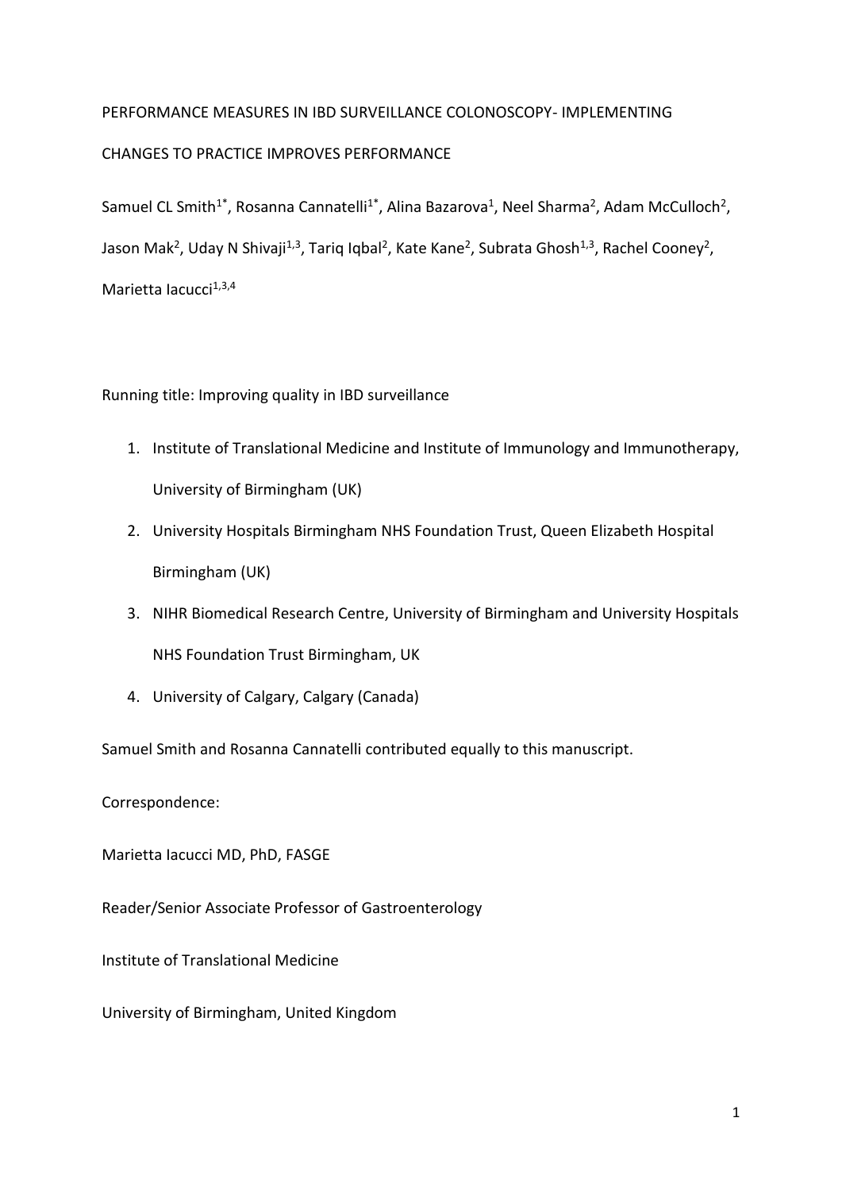# PERFORMANCE MEASURES IN IBD SURVEILLANCE COLONOSCOPY- IMPLEMENTING CHANGES TO PRACTICE IMPROVES PERFORMANCE

Samuel CL Smith<sup>1\*</sup>, Rosanna Cannatelli<sup>1\*</sup>, Alina Bazarova<sup>1</sup>, Neel Sharma<sup>2</sup>, Adam McCulloch<sup>2</sup>, Jason Mak<sup>2</sup>, Uday N Shivaji<sup>1,3</sup>, Tariq Iqbal<sup>2</sup>, Kate Kane<sup>2</sup>, Subrata Ghosh<sup>1,3</sup>, Rachel Cooney<sup>2</sup>, Marietta Iacucci $1,3,4$ 

## Running title: Improving quality in IBD surveillance

- 1. Institute of Translational Medicine and Institute of Immunology and Immunotherapy, University of Birmingham (UK)
- 2. University Hospitals Birmingham NHS Foundation Trust, Queen Elizabeth Hospital Birmingham (UK)
- 3. NIHR Biomedical Research Centre, University of Birmingham and University Hospitals NHS Foundation Trust Birmingham, UK
- 4. University of Calgary, Calgary (Canada)

Samuel Smith and Rosanna Cannatelli contributed equally to this manuscript.

Correspondence:

Marietta Iacucci MD, PhD, FASGE

- Reader/Senior Associate Professor of Gastroenterology
- Institute of Translational Medicine
- University of Birmingham, United Kingdom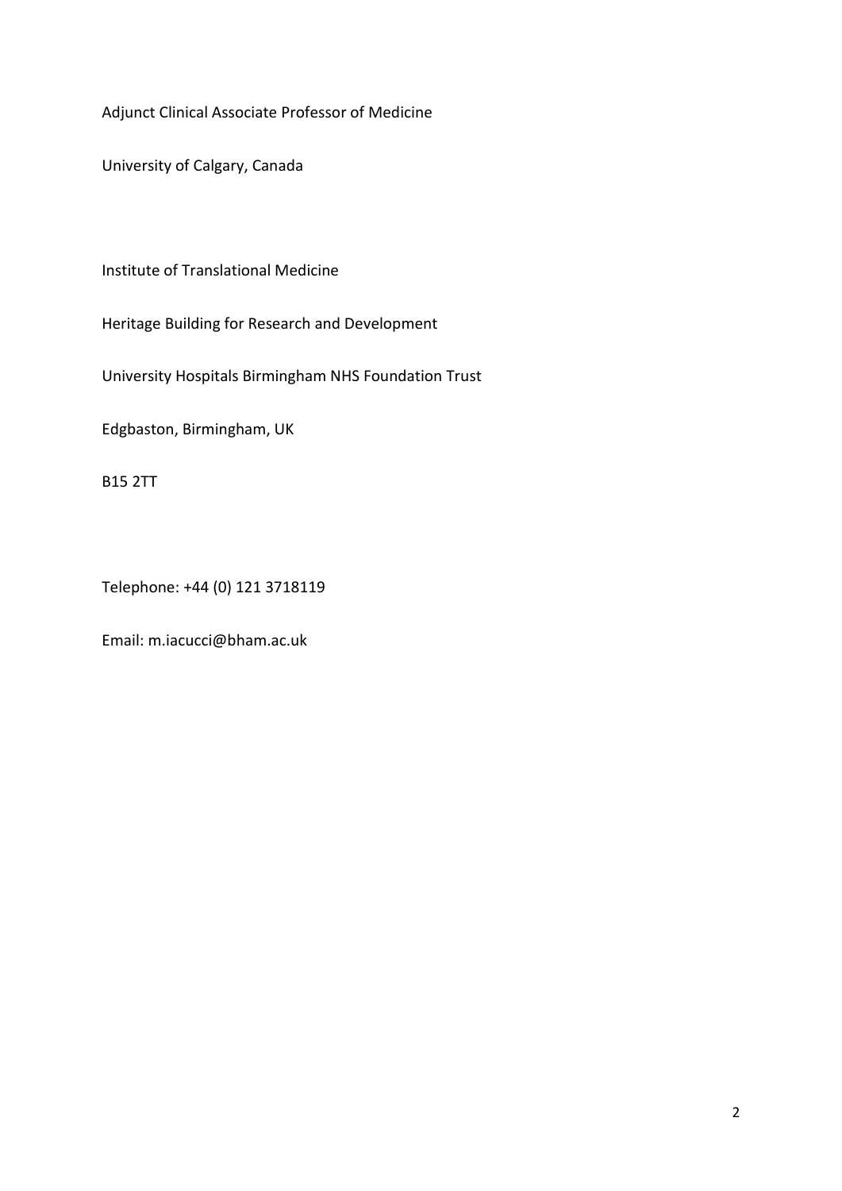Adjunct Clinical Associate Professor of Medicine

University of Calgary, Canada

Institute of Translational Medicine

Heritage Building for Research and Development

University Hospitals Birmingham NHS Foundation Trust

Edgbaston, Birmingham, UK

B15 2TT

Telephone: +44 (0) 121 3718119

Email: m.iacucci@bham.ac.uk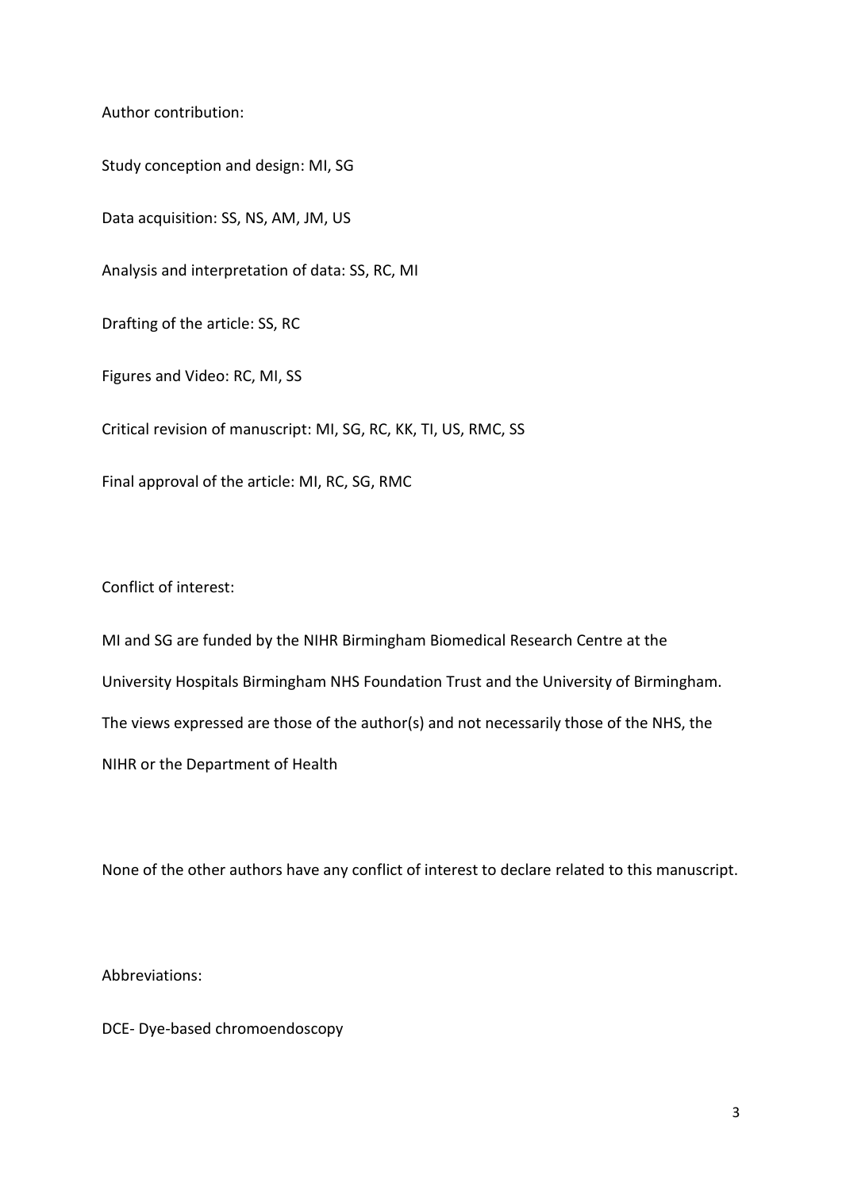Author contribution:

Study conception and design: MI, SG Data acquisition: SS, NS, AM, JM, US Analysis and interpretation of data: SS, RC, MI Drafting of the article: SS, RC Figures and Video: RC, MI, SS Critical revision of manuscript: MI, SG, RC, KK, TI, US, RMC, SS Final approval of the article: MI, RC, SG, RMC

Conflict of interest:

MI and SG are funded by the NIHR Birmingham Biomedical Research Centre at the University Hospitals Birmingham NHS Foundation Trust and the University of Birmingham. The views expressed are those of the author(s) and not necessarily those of the NHS, the NIHR or the Department of Health

None of the other authors have any conflict of interest to declare related to this manuscript.

Abbreviations:

DCE- Dye-based chromoendoscopy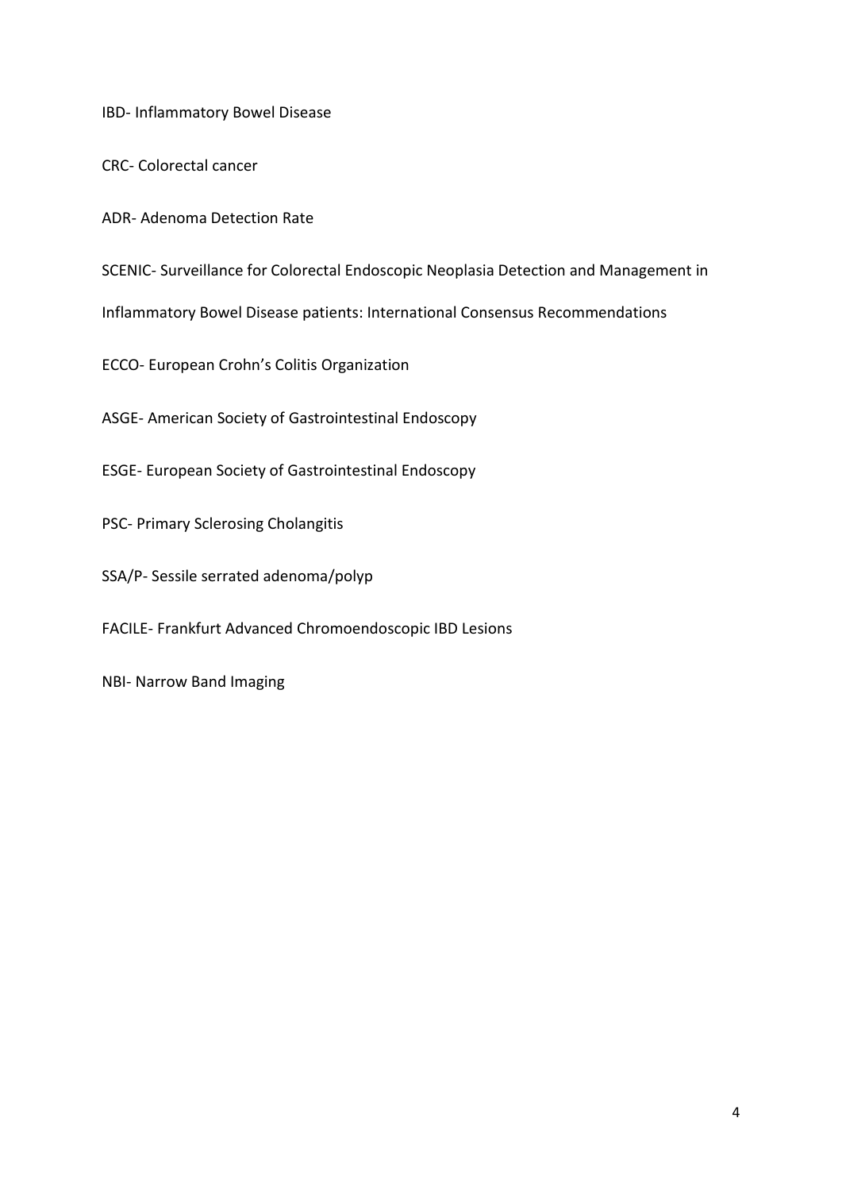IBD- Inflammatory Bowel Disease

CRC- Colorectal cancer

ADR- Adenoma Detection Rate

SCENIC- Surveillance for Colorectal Endoscopic Neoplasia Detection and Management in

Inflammatory Bowel Disease patients: International Consensus Recommendations

ECCO- European Crohn's Colitis Organization

ASGE- American Society of Gastrointestinal Endoscopy

ESGE- European Society of Gastrointestinal Endoscopy

PSC- Primary Sclerosing Cholangitis

SSA/P- Sessile serrated adenoma/polyp

FACILE- Frankfurt Advanced Chromoendoscopic IBD Lesions

NBI- Narrow Band Imaging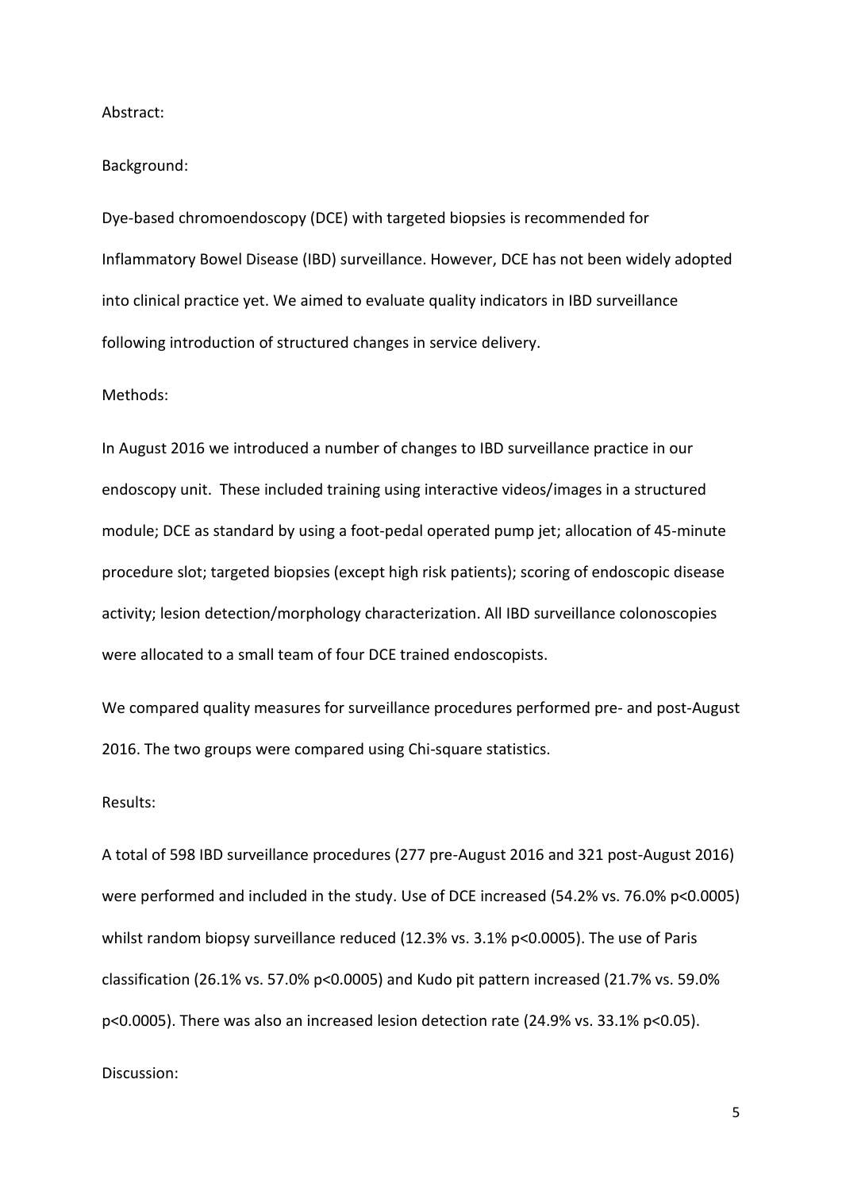Abstract:

Background:

Dye-based chromoendoscopy (DCE) with targeted biopsies is recommended for Inflammatory Bowel Disease (IBD) surveillance. However, DCE has not been widely adopted into clinical practice yet. We aimed to evaluate quality indicators in IBD surveillance following introduction of structured changes in service delivery.

## Methods:

In August 2016 we introduced a number of changes to IBD surveillance practice in our endoscopy unit. These included training using interactive videos/images in a structured module; DCE as standard by using a foot-pedal operated pump jet; allocation of 45-minute procedure slot; targeted biopsies (except high risk patients); scoring of endoscopic disease activity; lesion detection/morphology characterization. All IBD surveillance colonoscopies were allocated to a small team of four DCE trained endoscopists.

We compared quality measures for surveillance procedures performed pre- and post-August 2016. The two groups were compared using Chi-square statistics.

#### Results:

A total of 598 IBD surveillance procedures (277 pre-August 2016 and 321 post-August 2016) were performed and included in the study. Use of DCE increased (54.2% vs. 76.0% p<0.0005) whilst random biopsy surveillance reduced (12.3% vs. 3.1% p<0.0005). The use of Paris classification (26.1% vs. 57.0% p<0.0005) and Kudo pit pattern increased (21.7% vs. 59.0% p<0.0005). There was also an increased lesion detection rate (24.9% vs. 33.1% p<0.05).

#### Discussion: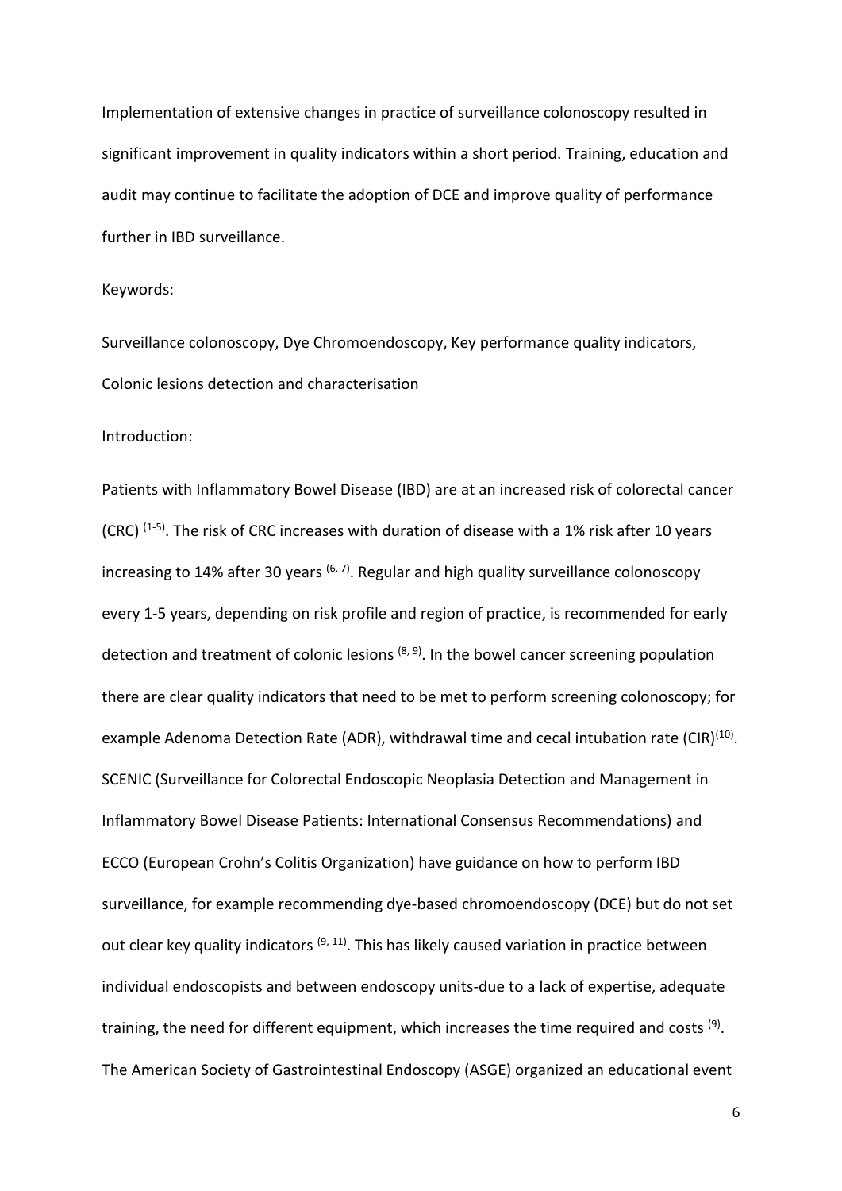Implementation of extensive changes in practice of surveillance colonoscopy resulted in significant improvement in quality indicators within a short period. Training, education and audit may continue to facilitate the adoption of DCE and improve quality of performance further in IBD surveillance.

### Keywords:

Surveillance colonoscopy, Dye Chromoendoscopy, Key performance quality indicators, Colonic lesions detection and characterisation

### Introduction:

Patients with Inflammatory Bowel Disease (IBD) are at an increased risk of colorectal cancer (CRC)  $(1-5)$ . The risk of CRC increases with duration of disease with a 1% risk after 10 years increasing to 14% after 30 years <sup>(6, 7)</sup>. Regular and high quality surveillance colonoscopy every 1-5 years, depending on risk profile and region of practice, is recommended for early detection and treatment of colonic lesions  $(8, 9)$ . In the bowel cancer screening population there are clear quality indicators that need to be met to perform screening colonoscopy; for example Adenoma Detection Rate (ADR), withdrawal time and cecal intubation rate (CIR)<sup>(10)</sup>. SCENIC (Surveillance for Colorectal Endoscopic Neoplasia Detection and Management in Inflammatory Bowel Disease Patients: International Consensus Recommendations) and ECCO (European Crohn's Colitis Organization) have guidance on how to perform IBD surveillance, for example recommending dye-based chromoendoscopy (DCE) but do not set out clear key quality indicators <sup>(9, 11</sup>). This has likely caused variation in practice between individual endoscopists and between endoscopy units-due to a lack of expertise, adequate training, the need for different equipment, which increases the time required and costs <sup>(9)</sup>. The American Society of Gastrointestinal Endoscopy (ASGE) organized an educational event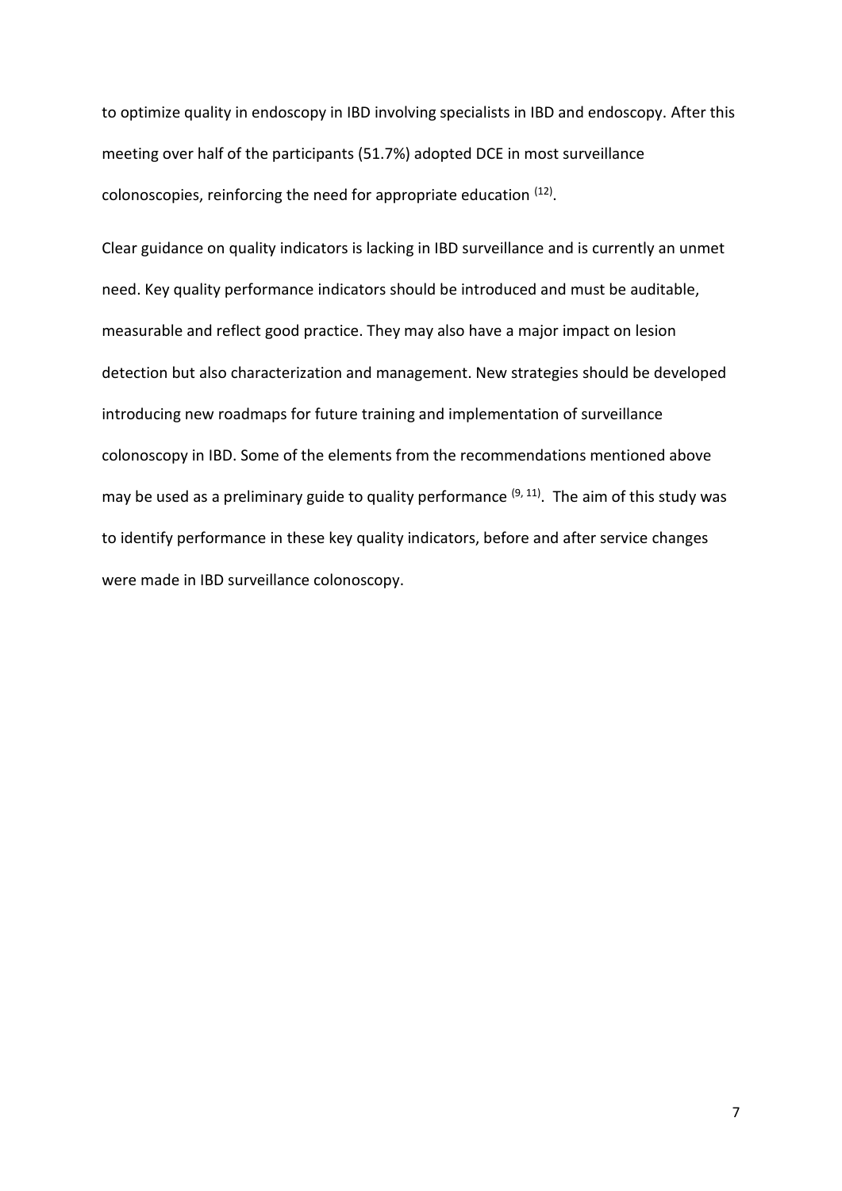to optimize quality in endoscopy in IBD involving specialists in IBD and endoscopy. After this meeting over half of the participants (51.7%) adopted DCE in most surveillance colonoscopies, reinforcing the need for appropriate education  $(12)$ .

Clear guidance on quality indicators is lacking in IBD surveillance and is currently an unmet need. Key quality performance indicators should be introduced and must be auditable, measurable and reflect good practice. They may also have a major impact on lesion detection but also characterization and management. New strategies should be developed introducing new roadmaps for future training and implementation of surveillance colonoscopy in IBD. Some of the elements from the recommendations mentioned above may be used as a preliminary guide to quality performance <sup>(9, 11)</sup>. The aim of this study was to identify performance in these key quality indicators, before and after service changes were made in IBD surveillance colonoscopy.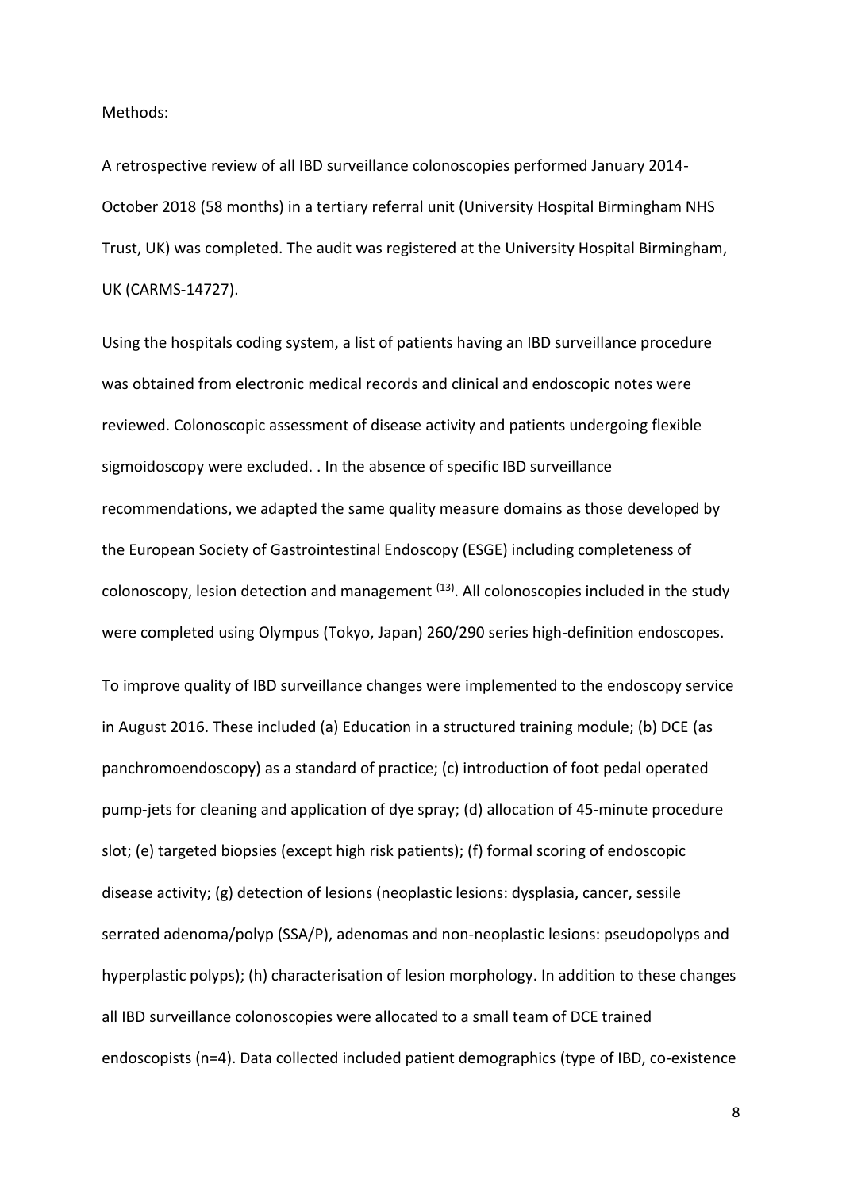Methods:

A retrospective review of all IBD surveillance colonoscopies performed January 2014- October 2018 (58 months) in a tertiary referral unit (University Hospital Birmingham NHS Trust, UK) was completed. The audit was registered at the University Hospital Birmingham, UK (CARMS-14727).

Using the hospitals coding system, a list of patients having an IBD surveillance procedure was obtained from electronic medical records and clinical and endoscopic notes were reviewed. Colonoscopic assessment of disease activity and patients undergoing flexible sigmoidoscopy were excluded. . In the absence of specific IBD surveillance recommendations, we adapted the same quality measure domains as those developed by the European Society of Gastrointestinal Endoscopy (ESGE) including completeness of colonoscopy, lesion detection and management <sup>(13)</sup>. All colonoscopies included in the study were completed using Olympus (Tokyo, Japan) 260/290 series high-definition endoscopes. To improve quality of IBD surveillance changes were implemented to the endoscopy service in August 2016. These included (a) Education in a structured training module; (b) DCE (as panchromoendoscopy) as a standard of practice; (c) introduction of foot pedal operated pump-jets for cleaning and application of dye spray; (d) allocation of 45-minute procedure slot; (e) targeted biopsies (except high risk patients); (f) formal scoring of endoscopic disease activity; (g) detection of lesions (neoplastic lesions: dysplasia, cancer, sessile serrated adenoma/polyp (SSA/P), adenomas and non-neoplastic lesions: pseudopolyps and hyperplastic polyps); (h) characterisation of lesion morphology. In addition to these changes all IBD surveillance colonoscopies were allocated to a small team of DCE trained endoscopists (n=4). Data collected included patient demographics (type of IBD, co-existence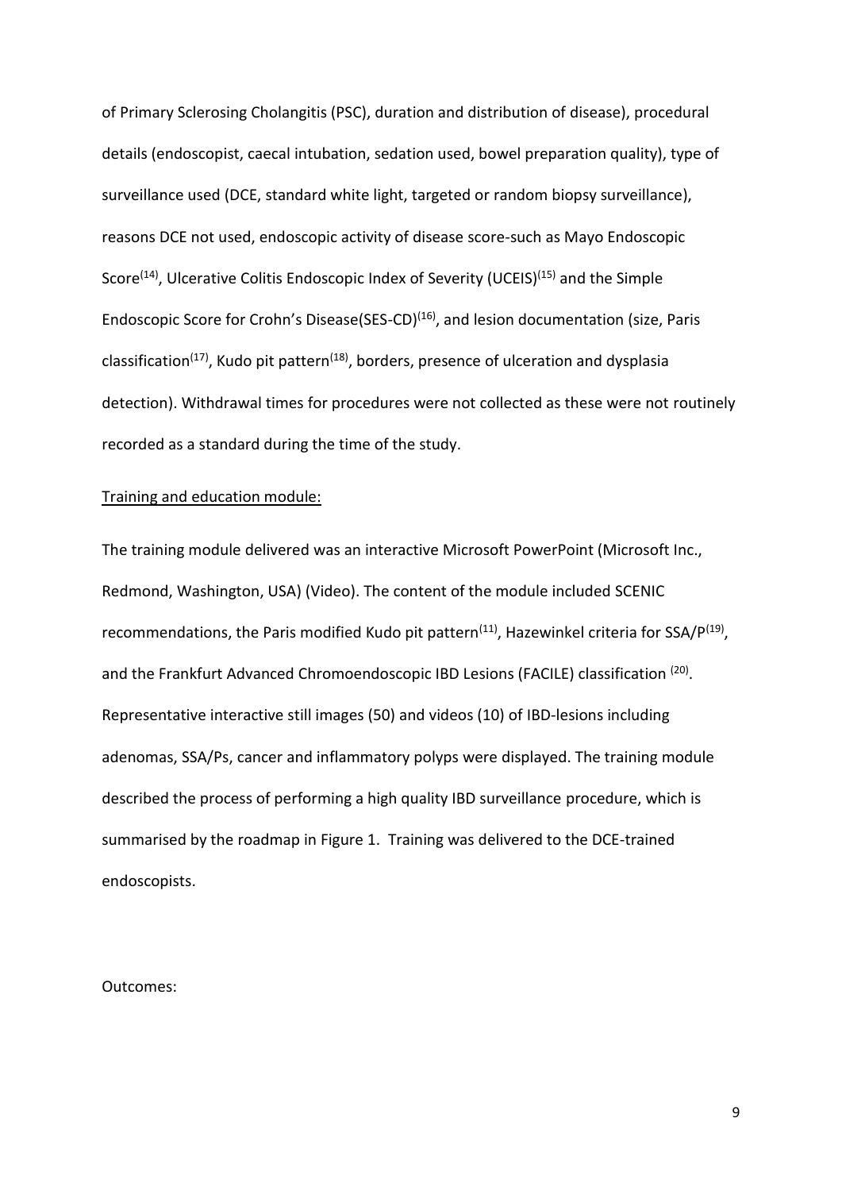of Primary Sclerosing Cholangitis (PSC), duration and distribution of disease), procedural details (endoscopist, caecal intubation, sedation used, bowel preparation quality), type of surveillance used (DCE, standard white light, targeted or random biopsy surveillance), reasons DCE not used, endoscopic activity of disease score-such as Mayo Endoscopic Score<sup>(14)</sup>, Ulcerative Colitis Endoscopic Index of Severity (UCEIS)<sup>(15)</sup> and the Simple Endoscopic Score for Crohn's Disease(SES-CD)<sup>(16)</sup>, and lesion documentation (size, Paris classification<sup>(17)</sup>, Kudo pit pattern<sup>(18)</sup>, borders, presence of ulceration and dysplasia detection). Withdrawal times for procedures were not collected as these were not routinely recorded as a standard during the time of the study.

### Training and education module:

The training module delivered was an interactive Microsoft PowerPoint (Microsoft Inc., Redmond, Washington, USA) (Video). The content of the module included SCENIC recommendations, the Paris modified Kudo pit pattern<sup>(11)</sup>, Hazewinkel criteria for SSA/P<sup>(19)</sup>, and the Frankfurt Advanced Chromoendoscopic IBD Lesions (FACILE) classification <sup>(20)</sup>. Representative interactive still images (50) and videos (10) of IBD-lesions including adenomas, SSA/Ps, cancer and inflammatory polyps were displayed. The training module described the process of performing a high quality IBD surveillance procedure, which is summarised by the roadmap in Figure 1. Training was delivered to the DCE-trained endoscopists.

Outcomes: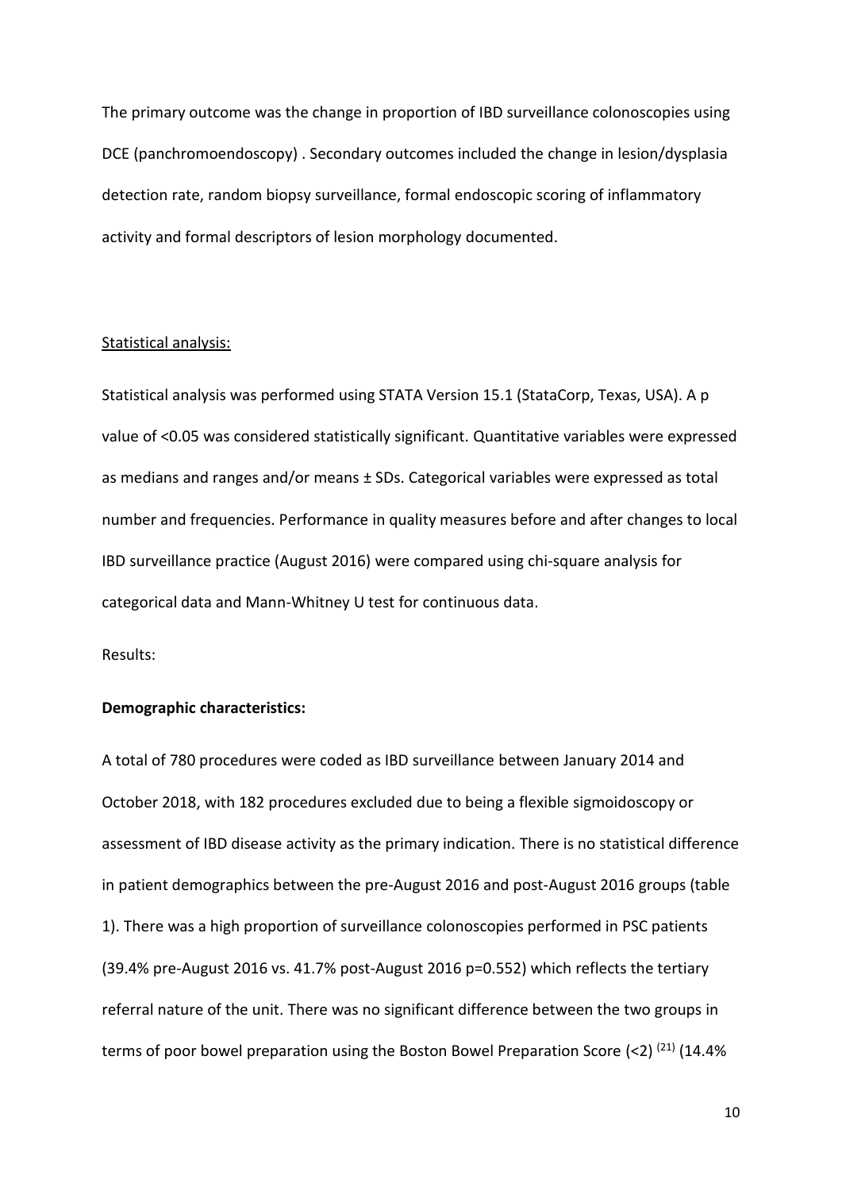The primary outcome was the change in proportion of IBD surveillance colonoscopies using DCE (panchromoendoscopy) . Secondary outcomes included the change in lesion/dysplasia detection rate, random biopsy surveillance, formal endoscopic scoring of inflammatory activity and formal descriptors of lesion morphology documented.

#### Statistical analysis:

Statistical analysis was performed using STATA Version 15.1 (StataCorp, Texas, USA). A p value of <0.05 was considered statistically significant. Quantitative variables were expressed as medians and ranges and/or means ± SDs. Categorical variables were expressed as total number and frequencies. Performance in quality measures before and after changes to local IBD surveillance practice (August 2016) were compared using chi-square analysis for categorical data and Mann-Whitney U test for continuous data.

Results:

### **Demographic characteristics:**

A total of 780 procedures were coded as IBD surveillance between January 2014 and October 2018, with 182 procedures excluded due to being a flexible sigmoidoscopy or assessment of IBD disease activity as the primary indication. There is no statistical difference in patient demographics between the pre-August 2016 and post-August 2016 groups (table 1). There was a high proportion of surveillance colonoscopies performed in PSC patients (39.4% pre-August 2016 vs. 41.7% post-August 2016 p=0.552) which reflects the tertiary referral nature of the unit. There was no significant difference between the two groups in terms of poor bowel preparation using the Boston Bowel Preparation Score  $(2)$   $(21)$  (14.4%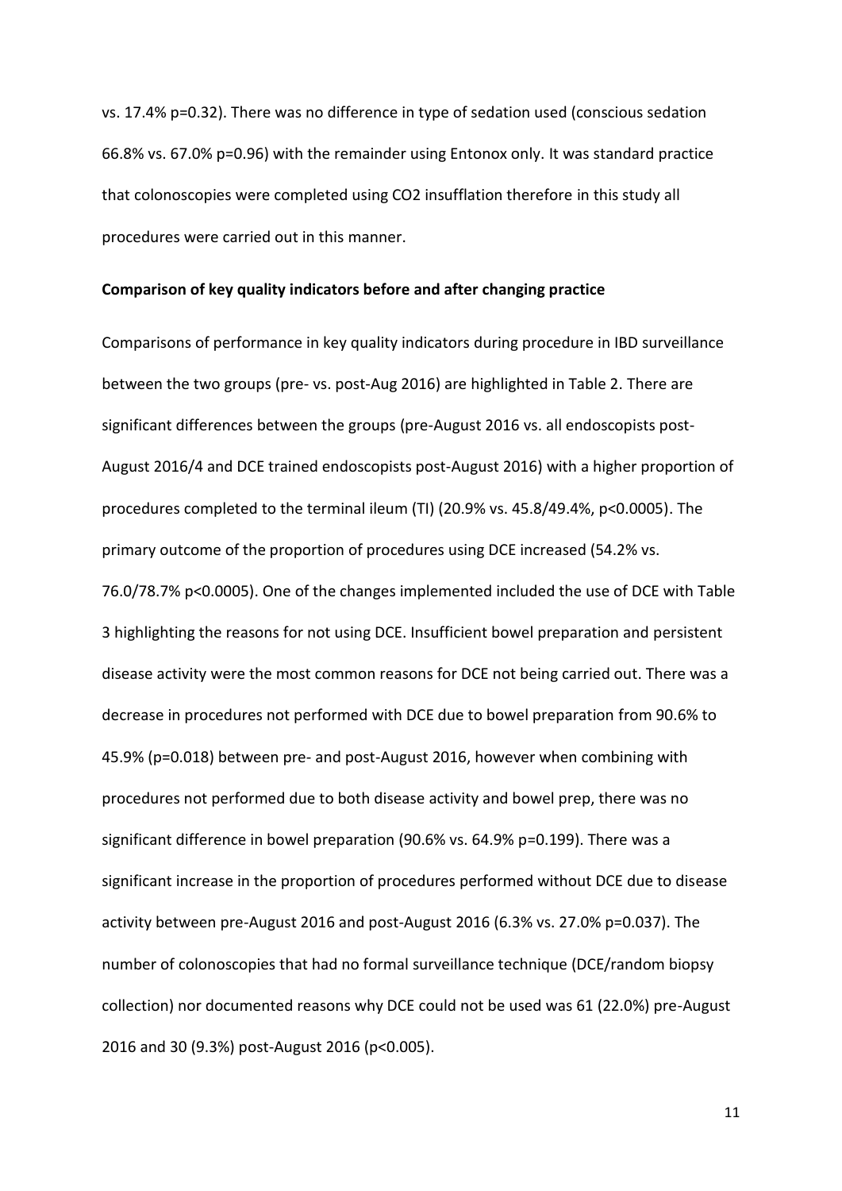vs. 17.4% p=0.32). There was no difference in type of sedation used (conscious sedation 66.8% vs. 67.0% p=0.96) with the remainder using Entonox only. It was standard practice that colonoscopies were completed using CO2 insufflation therefore in this study all procedures were carried out in this manner.

#### **Comparison of key quality indicators before and after changing practice**

Comparisons of performance in key quality indicators during procedure in IBD surveillance between the two groups (pre- vs. post-Aug 2016) are highlighted in Table 2. There are significant differences between the groups (pre-August 2016 vs. all endoscopists post-August 2016/4 and DCE trained endoscopists post-August 2016) with a higher proportion of procedures completed to the terminal ileum (TI) (20.9% vs. 45.8/49.4%, p<0.0005). The primary outcome of the proportion of procedures using DCE increased (54.2% vs. 76.0/78.7% p<0.0005). One of the changes implemented included the use of DCE with Table 3 highlighting the reasons for not using DCE. Insufficient bowel preparation and persistent disease activity were the most common reasons for DCE not being carried out. There was a decrease in procedures not performed with DCE due to bowel preparation from 90.6% to 45.9% (p=0.018) between pre- and post-August 2016, however when combining with procedures not performed due to both disease activity and bowel prep, there was no significant difference in bowel preparation (90.6% vs. 64.9% p=0.199). There was a significant increase in the proportion of procedures performed without DCE due to disease activity between pre-August 2016 and post-August 2016 (6.3% vs. 27.0% p=0.037). The number of colonoscopies that had no formal surveillance technique (DCE/random biopsy collection) nor documented reasons why DCE could not be used was 61 (22.0%) pre-August 2016 and 30 (9.3%) post-August 2016 (p<0.005).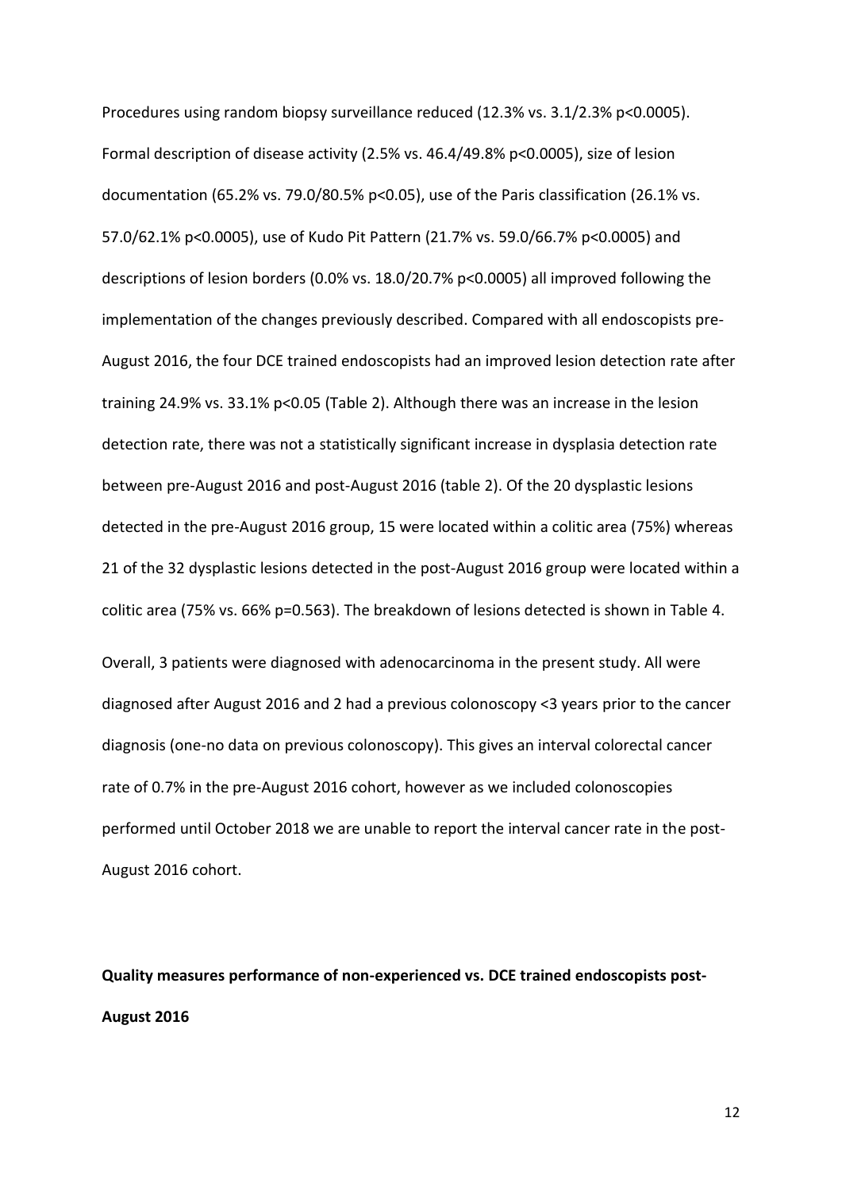Procedures using random biopsy surveillance reduced (12.3% vs. 3.1/2.3% p<0.0005). Formal description of disease activity (2.5% vs. 46.4/49.8% p<0.0005), size of lesion documentation (65.2% vs. 79.0/80.5% p<0.05), use of the Paris classification (26.1% vs. 57.0/62.1% p<0.0005), use of Kudo Pit Pattern (21.7% vs. 59.0/66.7% p<0.0005) and descriptions of lesion borders (0.0% vs. 18.0/20.7% p<0.0005) all improved following the implementation of the changes previously described. Compared with all endoscopists pre-August 2016, the four DCE trained endoscopists had an improved lesion detection rate after training 24.9% vs. 33.1% p<0.05 (Table 2). Although there was an increase in the lesion detection rate, there was not a statistically significant increase in dysplasia detection rate between pre-August 2016 and post-August 2016 (table 2). Of the 20 dysplastic lesions detected in the pre-August 2016 group, 15 were located within a colitic area (75%) whereas 21 of the 32 dysplastic lesions detected in the post-August 2016 group were located within a colitic area (75% vs. 66% p=0.563). The breakdown of lesions detected is shown in Table 4. Overall, 3 patients were diagnosed with adenocarcinoma in the present study. All were diagnosed after August 2016 and 2 had a previous colonoscopy <3 years prior to the cancer diagnosis (one-no data on previous colonoscopy). This gives an interval colorectal cancer

rate of 0.7% in the pre-August 2016 cohort, however as we included colonoscopies performed until October 2018 we are unable to report the interval cancer rate in the post-August 2016 cohort.

**Quality measures performance of non-experienced vs. DCE trained endoscopists post-August 2016**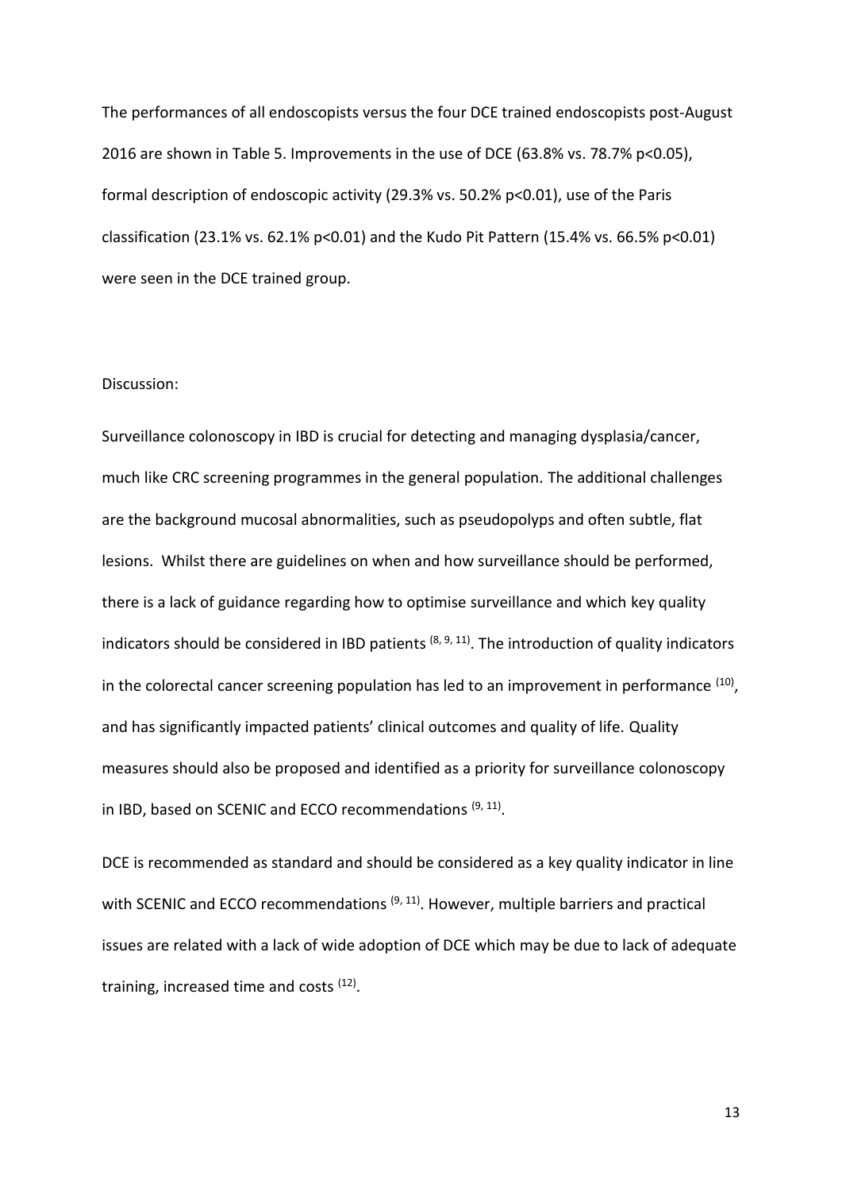The performances of all endoscopists versus the four DCE trained endoscopists post-August 2016 are shown in Table 5. Improvements in the use of DCE (63.8% vs. 78.7% p<0.05), formal description of endoscopic activity (29.3% vs. 50.2% p<0.01), use of the Paris classification (23.1% vs. 62.1% p<0.01) and the Kudo Pit Pattern (15.4% vs. 66.5% p<0.01) were seen in the DCE trained group.

#### Discussion:

Surveillance colonoscopy in IBD is crucial for detecting and managing dysplasia/cancer, much like CRC screening programmes in the general population. The additional challenges are the background mucosal abnormalities, such as pseudopolyps and often subtle, flat lesions. Whilst there are guidelines on when and how surveillance should be performed, there is a lack of guidance regarding how to optimise surveillance and which key quality indicators should be considered in IBD patients  $(8, 9, 11)$ . The introduction of quality indicators in the colorectal cancer screening population has led to an improvement in performance <sup>(10)</sup>, and has significantly impacted patients' clinical outcomes and quality of life. Quality measures should also be proposed and identified as a priority for surveillance colonoscopy in IBD, based on SCENIC and ECCO recommendations (9, 11).

DCE is recommended as standard and should be considered as a key quality indicator in line with SCENIC and ECCO recommendations <sup>(9, 11</sup>). However, multiple barriers and practical issues are related with a lack of wide adoption of DCE which may be due to lack of adequate training, increased time and costs <sup>(12)</sup>.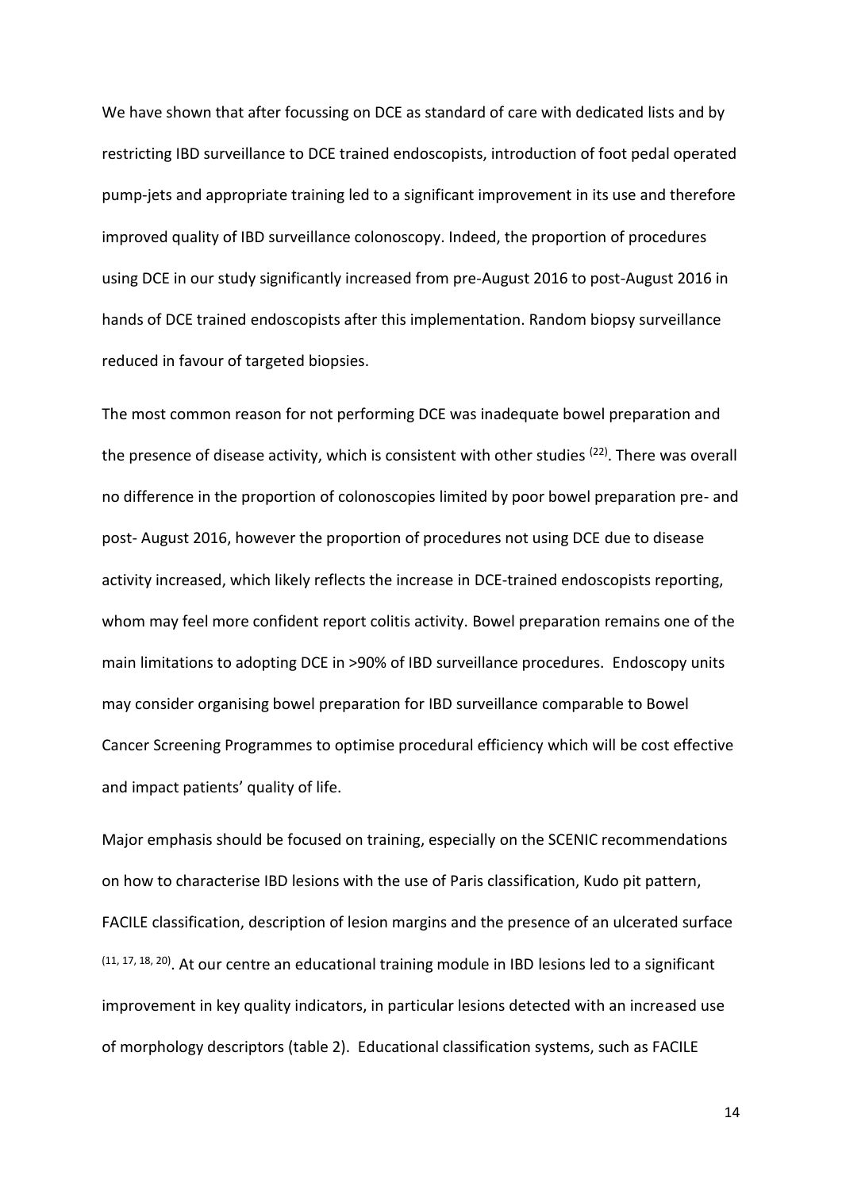We have shown that after focussing on DCE as standard of care with dedicated lists and by restricting IBD surveillance to DCE trained endoscopists, introduction of foot pedal operated pump-jets and appropriate training led to a significant improvement in its use and therefore improved quality of IBD surveillance colonoscopy. Indeed, the proportion of procedures using DCE in our study significantly increased from pre-August 2016 to post-August 2016 in hands of DCE trained endoscopists after this implementation. Random biopsy surveillance reduced in favour of targeted biopsies.

The most common reason for not performing DCE was inadequate bowel preparation and the presence of disease activity, which is consistent with other studies <sup>(22)</sup>. There was overall no difference in the proportion of colonoscopies limited by poor bowel preparation pre- and post- August 2016, however the proportion of procedures not using DCE due to disease activity increased, which likely reflects the increase in DCE-trained endoscopists reporting, whom may feel more confident report colitis activity. Bowel preparation remains one of the main limitations to adopting DCE in >90% of IBD surveillance procedures. Endoscopy units may consider organising bowel preparation for IBD surveillance comparable to Bowel Cancer Screening Programmes to optimise procedural efficiency which will be cost effective and impact patients' quality of life.

Major emphasis should be focused on training, especially on the SCENIC recommendations on how to characterise IBD lesions with the use of Paris classification, Kudo pit pattern, FACILE classification, description of lesion margins and the presence of an ulcerated surface  $(11, 17, 18, 20)$ . At our centre an educational training module in IBD lesions led to a significant improvement in key quality indicators, in particular lesions detected with an increased use of morphology descriptors (table 2). Educational classification systems, such as FACILE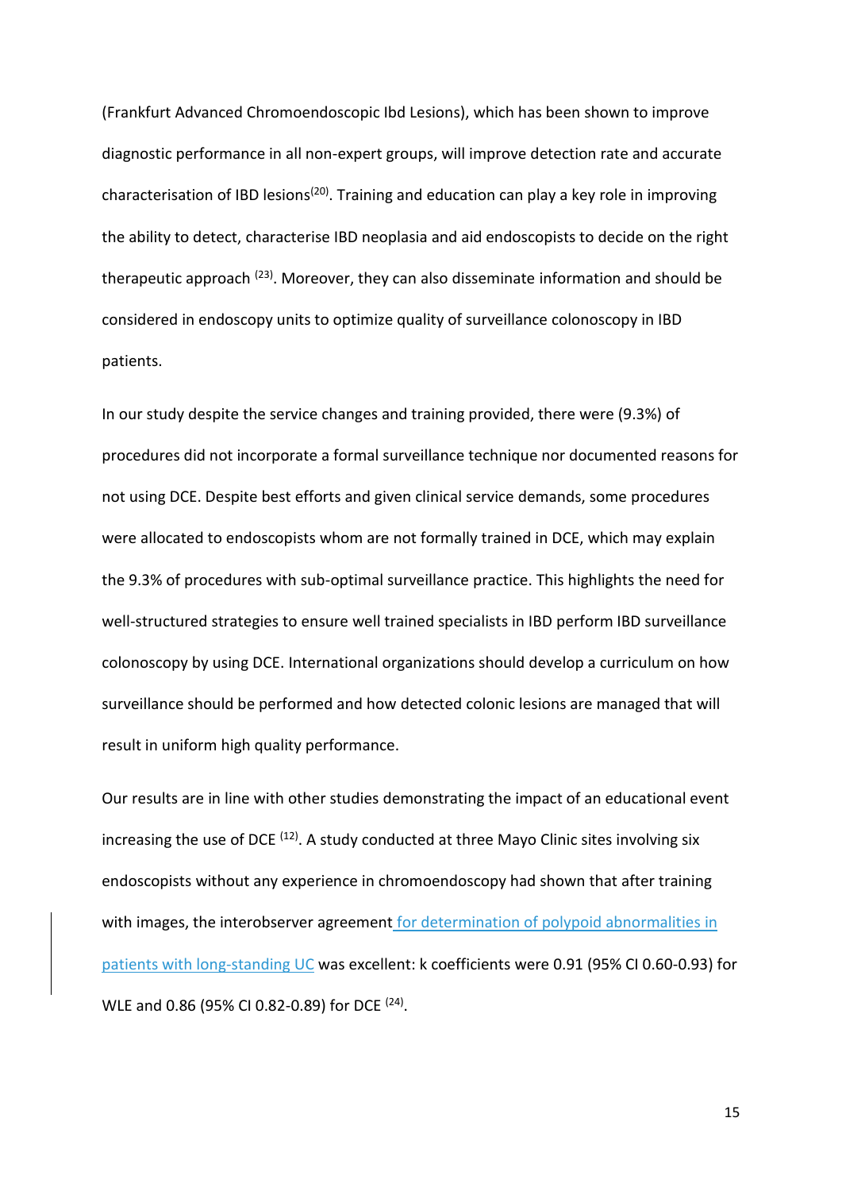(Frankfurt Advanced Chromoendoscopic Ibd Lesions), which has been shown to improve diagnostic performance in all non-expert groups, will improve detection rate and accurate characterisation of IBD lesions<sup>(20)</sup>. Training and education can play a key role in improving the ability to detect, characterise IBD neoplasia and aid endoscopists to decide on the right therapeutic approach  $(23)$ . Moreover, they can also disseminate information and should be considered in endoscopy units to optimize quality of surveillance colonoscopy in IBD patients.

In our study despite the service changes and training provided, there were (9.3%) of procedures did not incorporate a formal surveillance technique nor documented reasons for not using DCE. Despite best efforts and given clinical service demands, some procedures were allocated to endoscopists whom are not formally trained in DCE, which may explain the 9.3% of procedures with sub-optimal surveillance practice. This highlights the need for well-structured strategies to ensure well trained specialists in IBD perform IBD surveillance colonoscopy by using DCE. International organizations should develop a curriculum on how surveillance should be performed and how detected colonic lesions are managed that will result in uniform high quality performance.

Our results are in line with other studies demonstrating the impact of an educational event increasing the use of DCE  $(12)$ . A study conducted at three Mayo Clinic sites involving six endoscopists without any experience in chromoendoscopy had shown that after training with images, the interobserver agreement for determination of polypoid abnormalities in patients with long-standing UC was excellent: k coefficients were 0.91 (95% CI 0.60-0.93) for WLE and 0.86 (95% CI 0.82-0.89) for DCE  $(24)$ .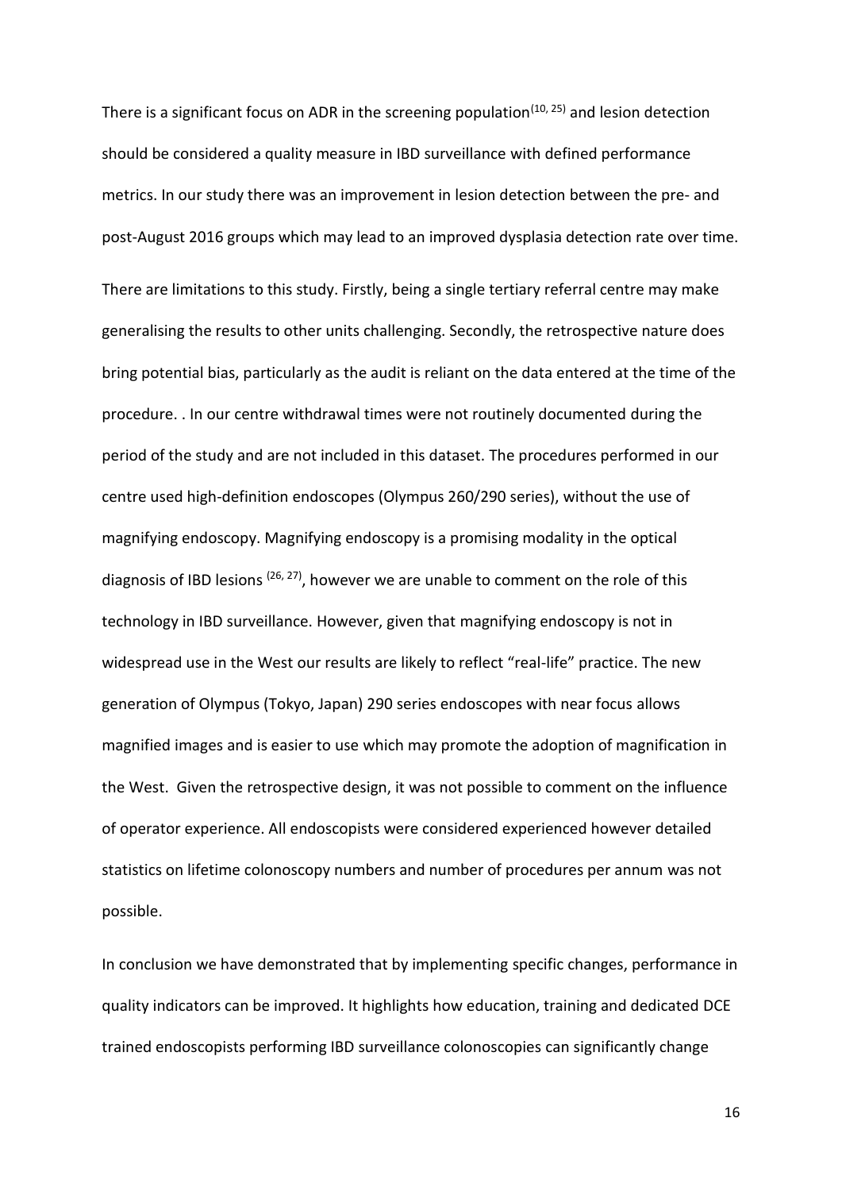There is a significant focus on ADR in the screening population<sup> $(10, 25)$ </sup> and lesion detection should be considered a quality measure in IBD surveillance with defined performance metrics. In our study there was an improvement in lesion detection between the pre- and post-August 2016 groups which may lead to an improved dysplasia detection rate over time.

There are limitations to this study. Firstly, being a single tertiary referral centre may make generalising the results to other units challenging. Secondly, the retrospective nature does bring potential bias, particularly as the audit is reliant on the data entered at the time of the procedure. . In our centre withdrawal times were not routinely documented during the period of the study and are not included in this dataset. The procedures performed in our centre used high-definition endoscopes (Olympus 260/290 series), without the use of magnifying endoscopy. Magnifying endoscopy is a promising modality in the optical diagnosis of IBD lesions  $(26, 27)$ , however we are unable to comment on the role of this technology in IBD surveillance. However, given that magnifying endoscopy is not in widespread use in the West our results are likely to reflect "real-life" practice. The new generation of Olympus (Tokyo, Japan) 290 series endoscopes with near focus allows magnified images and is easier to use which may promote the adoption of magnification in the West. Given the retrospective design, it was not possible to comment on the influence of operator experience. All endoscopists were considered experienced however detailed statistics on lifetime colonoscopy numbers and number of procedures per annum was not possible.

In conclusion we have demonstrated that by implementing specific changes, performance in quality indicators can be improved. It highlights how education, training and dedicated DCE trained endoscopists performing IBD surveillance colonoscopies can significantly change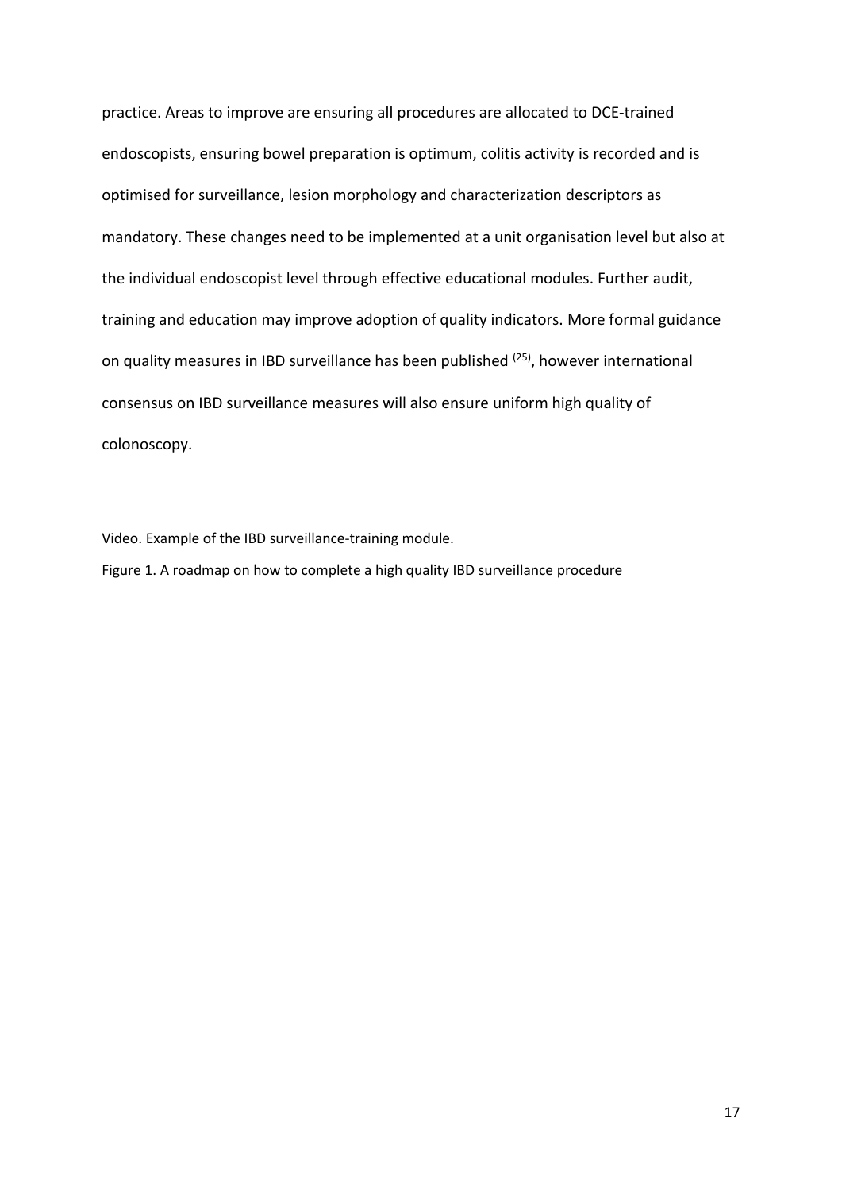practice. Areas to improve are ensuring all procedures are allocated to DCE-trained endoscopists, ensuring bowel preparation is optimum, colitis activity is recorded and is optimised for surveillance, lesion morphology and characterization descriptors as mandatory. These changes need to be implemented at a unit organisation level but also at the individual endoscopist level through effective educational modules. Further audit, training and education may improve adoption of quality indicators. More formal guidance on quality measures in IBD surveillance has been published <sup>(25)</sup>, however international consensus on IBD surveillance measures will also ensure uniform high quality of colonoscopy.

Video. Example of the IBD surveillance-training module.

Figure 1. A roadmap on how to complete a high quality IBD surveillance procedure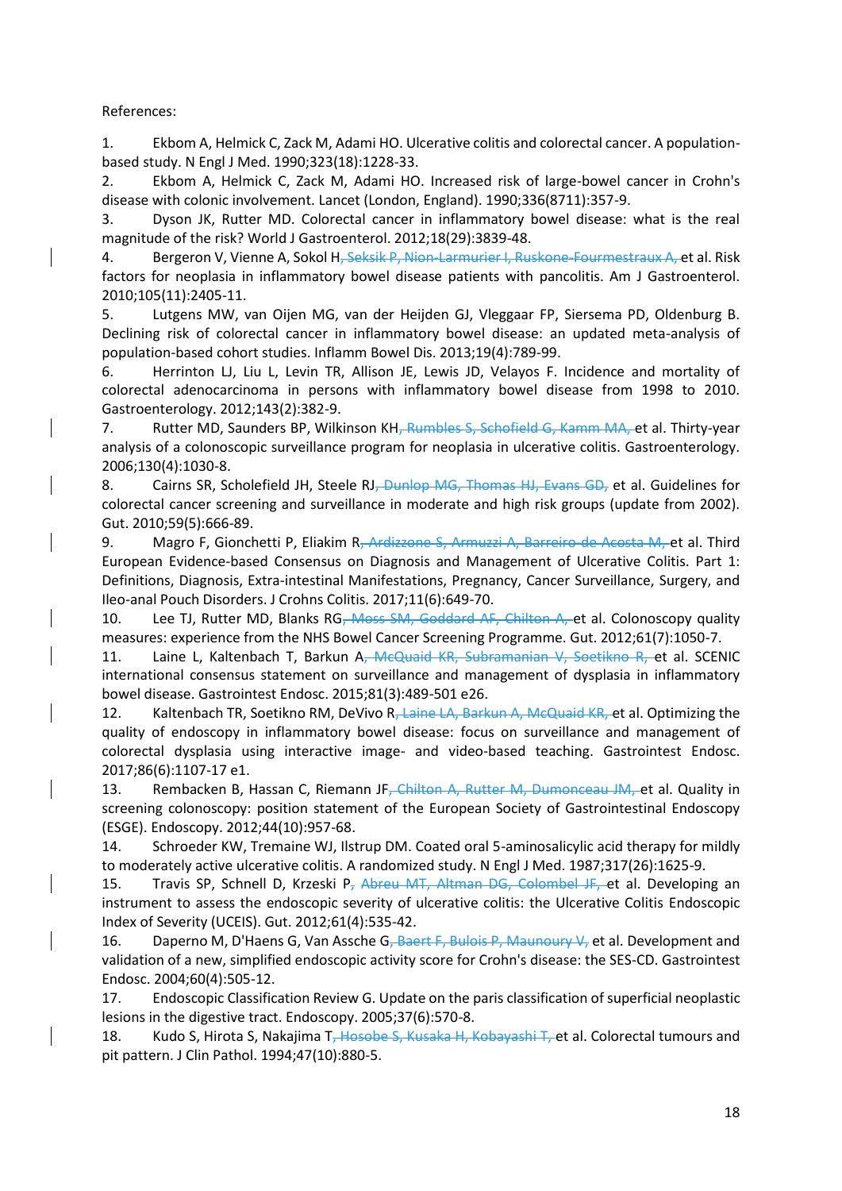References:

1. Ekbom A, Helmick C, Zack M, Adami HO. Ulcerative colitis and colorectal cancer. A populationbased study. N Engl J Med. 1990;323(18):1228-33.

2. Ekbom A, Helmick C, Zack M, Adami HO. Increased risk of large-bowel cancer in Crohn's disease with colonic involvement. Lancet (London, England). 1990;336(8711):357-9.

3. Dyson JK, Rutter MD. Colorectal cancer in inflammatory bowel disease: what is the real magnitude of the risk? World J Gastroenterol. 2012;18(29):3839-48.

4. Bergeron V, Vienne A, Sokol H, Seksik P, Nion-Larmurier I, Ruskone-Fourmestraux A, et al. Risk factors for neoplasia in inflammatory bowel disease patients with pancolitis. Am J Gastroenterol. 2010;105(11):2405-11.

5. Lutgens MW, van Oijen MG, van der Heijden GJ, Vleggaar FP, Siersema PD, Oldenburg B. Declining risk of colorectal cancer in inflammatory bowel disease: an updated meta-analysis of population-based cohort studies. Inflamm Bowel Dis. 2013;19(4):789-99.

6. Herrinton LJ, Liu L, Levin TR, Allison JE, Lewis JD, Velayos F. Incidence and mortality of colorectal adenocarcinoma in persons with inflammatory bowel disease from 1998 to 2010. Gastroenterology. 2012;143(2):382-9.

7. Rutter MD, Saunders BP, Wilkinson KH, Rumbles S, Schofield G, Kamm MA, et al. Thirty-year analysis of a colonoscopic surveillance program for neoplasia in ulcerative colitis. Gastroenterology. 2006;130(4):1030-8.

8. Cairns SR, Scholefield JH, Steele RJ<del>, Dunlop MG, Thomas HJ, Evans GD,</del> et al. Guidelines for colorectal cancer screening and surveillance in moderate and high risk groups (update from 2002). Gut. 2010;59(5):666-89.

9. Magro F, Gionchetti P, Eliakim R<del>, Ardizzone S, Armuzzi A, Barreiro-de Acosta M, e</del>t al. Third European Evidence-based Consensus on Diagnosis and Management of Ulcerative Colitis. Part 1: Definitions, Diagnosis, Extra-intestinal Manifestations, Pregnancy, Cancer Surveillance, Surgery, and Ileo-anal Pouch Disorders. J Crohns Colitis. 2017;11(6):649-70.

10. Lee TJ, Rutter MD, Blanks RG<del>, Moss SM, Goddard AF, Chilton A, e</del>t al. Colonoscopy quality measures: experience from the NHS Bowel Cancer Screening Programme. Gut. 2012;61(7):1050-7.

11. Laine L, Kaltenbach T, Barkun A, McQuaid KR, Subramanian V, Soetikno R, et al. SCENIC international consensus statement on surveillance and management of dysplasia in inflammatory bowel disease. Gastrointest Endosc. 2015;81(3):489-501 e26.

12. Kaltenbach TR, Soetikno RM, DeVivo R<del>, Laine LA, Barkun A, McQuaid KR, e</del>t al. Optimizing the quality of endoscopy in inflammatory bowel disease: focus on surveillance and management of colorectal dysplasia using interactive image- and video-based teaching. Gastrointest Endosc. 2017;86(6):1107-17 e1.

13. Rembacken B, Hassan C, Riemann JF<del>, Chilton A, Rutter M, Dumonceau JM, e</del>t al. Quality in screening colonoscopy: position statement of the European Society of Gastrointestinal Endoscopy (ESGE). Endoscopy. 2012;44(10):957-68.

14. Schroeder KW, Tremaine WJ, Ilstrup DM. Coated oral 5-aminosalicylic acid therapy for mildly to moderately active ulcerative colitis. A randomized study. N Engl J Med. 1987;317(26):1625-9.

15. Travis SP, Schnell D, Krzeski P<sub>r</sub> Abreu MT, Altman DG, Colombel JF, et al. Developing an instrument to assess the endoscopic severity of ulcerative colitis: the Ulcerative Colitis Endoscopic Index of Severity (UCEIS). Gut. 2012;61(4):535-42.

16. Daperno M, D'Haens G, Van Assche G<del>, Baert F, Bulois P, Maunoury V,</del> et al. Development and validation of a new, simplified endoscopic activity score for Crohn's disease: the SES-CD. Gastrointest Endosc. 2004;60(4):505-12.

17. Endoscopic Classification Review G. Update on the paris classification of superficial neoplastic lesions in the digestive tract. Endoscopy. 2005;37(6):570-8.

18. Kudo S, Hirota S, Nakajima T<del>, Hosobe S, Kusaka H, Kobayashi T, e</del>t al. Colorectal tumours and pit pattern. J Clin Pathol. 1994;47(10):880-5.